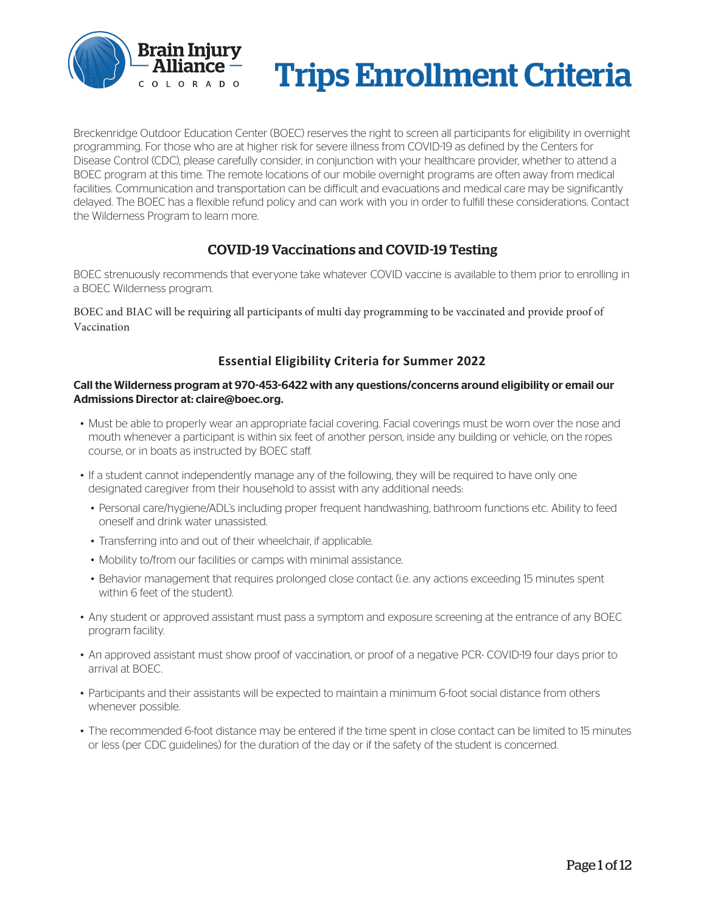

# Trips Enrollment Criteria

Breckenridge Outdoor Education Center (BOEC) reserves the right to screen all participants for eligibility in overnight programming. For those who are at higher risk for severe illness from COVID-19 as defined by the Centers for Disease Control (CDC), please carefully consider, in conjunction with your healthcare provider, whether to attend a BOEC program at this time. The remote locations of our mobile overnight programs are often away from medical facilities. Communication and transportation can be difficult and evacuations and medical care may be significantly delayed. The BOEC has a flexible refund policy and can work with you in order to fulfill these considerations. Contact the Wilderness Program to learn more.

## COVID-19 Vaccinations and COVID-19 Testing

BOEC strenuously recommends that everyone take whatever COVID vaccine is available to them prior to enrolling in a BOEC Wilderness program.

BOEC and BIAC will be requiring all participants of multi day programming to be vaccinated and provide proof of Vaccination

### **Essential Eligibility Criteria for Summer 2022**

#### Call the Wilderness program at 970-453-6422 with any questions/concerns around eligibility or email our Admissions Director at: claire@boec.org.

- Must be able to properly wear an appropriate facial covering. Facial coverings must be worn over the nose and mouth whenever a participant is within six feet of another person, inside any building or vehicle, on the ropes course, or in boats as instructed by BOEC staff.
- If a student cannot independently manage any of the following, they will be required to have only one designated caregiver from their household to assist with any additional needs:
	- Personal care/hygiene/ADL's including proper frequent handwashing, bathroom functions etc. Ability to feed oneself and drink water unassisted.
	- Transferring into and out of their wheelchair, if applicable.
	- Mobility to/from our facilities or camps with minimal assistance.
	- Behavior management that requires prolonged close contact (i.e. any actions exceeding 15 minutes spent within 6 feet of the student).
- Any student or approved assistant must pass a symptom and exposure screening at the entrance of any BOEC program facility.
- An approved assistant must show proof of vaccination, or proof of a negative PCR- COVID-19 four days prior to arrival at BOEC.
- Participants and their assistants will be expected to maintain a minimum 6-foot social distance from others whenever possible.
- The recommended 6-foot distance may be entered if the time spent in close contact can be limited to 15 minutes or less (per CDC guidelines) for the duration of the day or if the safety of the student is concerned.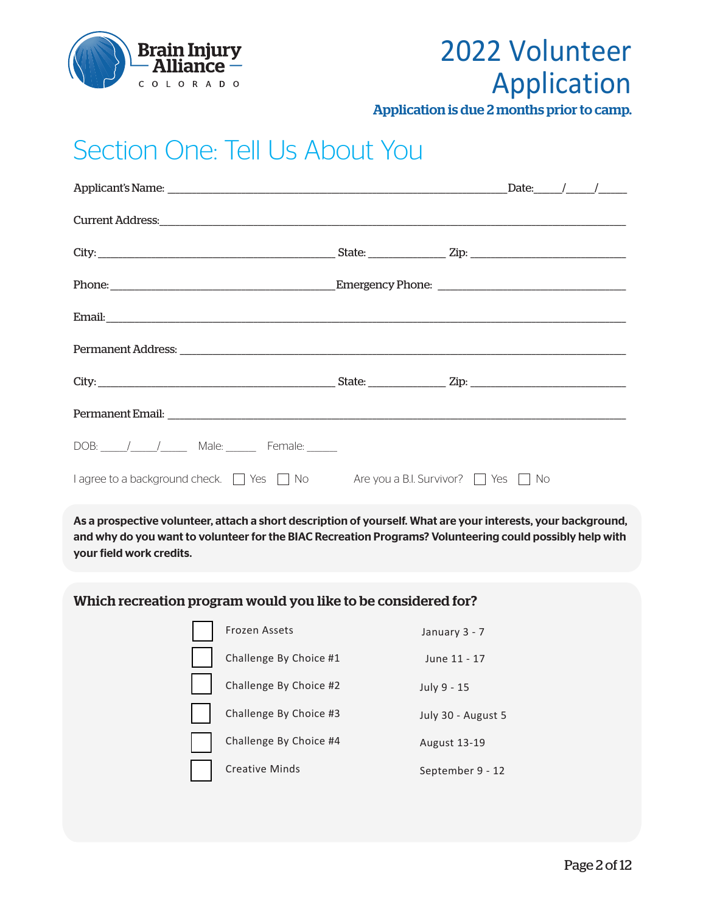

## 2022 Volunteer Application

Application is due 2 months prior to camp.

## Section One: Tell Us About You

|                                                                                                     | Date: $\frac{1}{\sqrt{2\pi}}$ |
|-----------------------------------------------------------------------------------------------------|-------------------------------|
|                                                                                                     |                               |
|                                                                                                     |                               |
|                                                                                                     |                               |
|                                                                                                     |                               |
|                                                                                                     |                               |
|                                                                                                     |                               |
|                                                                                                     |                               |
| DOB: / / Male: Female:                                                                              |                               |
| $\Box$ agree to a background check. $\Box$ Yes $\Box$ No Are you a B.I. Survivor? $\Box$ Yes $\Box$ | . No                          |

As a prospective volunteer, attach a short description of yourself. What are your interests, your background, and why do you want to volunteer for the BIAC Recreation Programs? Volunteering could possibly help with your field work credits.

### Which recreation program would you like to be considered for?

| f |
|---|
|   |
|   |

Frozen Assets

Challenge By Choice #1 June 11 - 17

January 3 - 7

July 9 - 15

July 30 - August 5

September 9 - 12

August 13-19

### Challenge By Choice #2

Challenge By Choice #3

Challenge By Choice #4

Creative Minds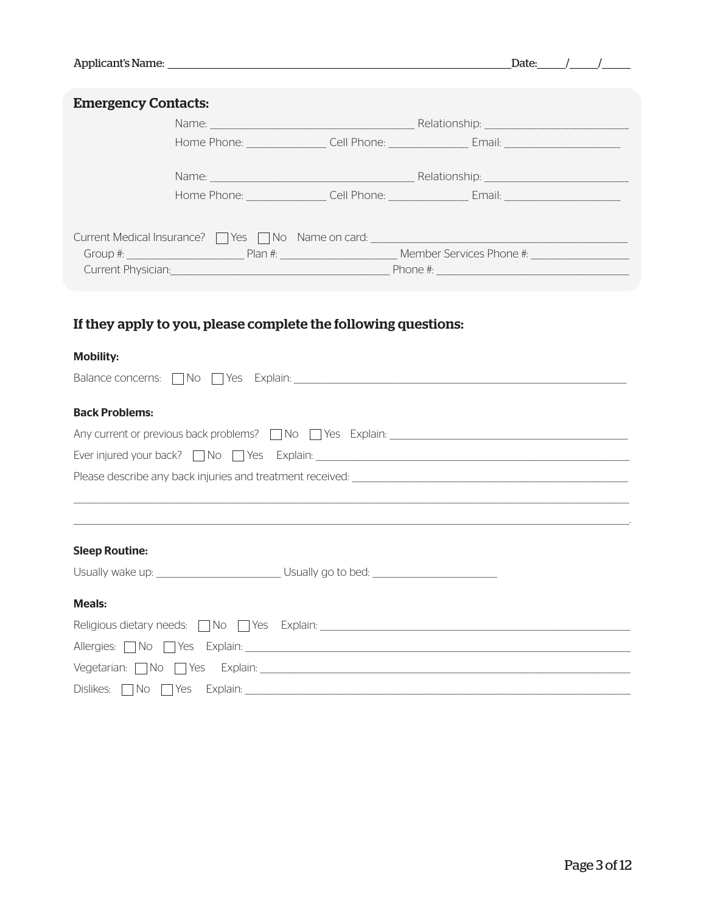|                                                                                                                | Date: $/$ /                                                                                                     |
|----------------------------------------------------------------------------------------------------------------|-----------------------------------------------------------------------------------------------------------------|
| <b>Emergency Contacts:</b>                                                                                     |                                                                                                                 |
|                                                                                                                |                                                                                                                 |
|                                                                                                                | Home Phone: __________________Cell Phone: ___________________Email: ________________________________            |
|                                                                                                                |                                                                                                                 |
|                                                                                                                | Home Phone: __________________Cell Phone: __________________Email: _________________________________            |
|                                                                                                                | Current Medical Insurance? These Theory Name on card: Theory Theory Theory Alexander Current Medical Insurance? |
|                                                                                                                |                                                                                                                 |
|                                                                                                                |                                                                                                                 |
|                                                                                                                |                                                                                                                 |
| <b>Mobility:</b>                                                                                               |                                                                                                                 |
|                                                                                                                |                                                                                                                 |
| <b>Back Problems:</b>                                                                                          |                                                                                                                 |
|                                                                                                                |                                                                                                                 |
|                                                                                                                |                                                                                                                 |
|                                                                                                                |                                                                                                                 |
|                                                                                                                |                                                                                                                 |
|                                                                                                                |                                                                                                                 |
| <b>Sleep Routine:</b>                                                                                          |                                                                                                                 |
| Usually wake up: ________________________________Usually go to bed: _______________________________            |                                                                                                                 |
| <b>Meals:</b>                                                                                                  |                                                                                                                 |
|                                                                                                                |                                                                                                                 |
| Allergies: No Nes Explain: 1988 March 1988 March 1988 March 1989 March 1989 March 1989 March 1989 March 1989 M |                                                                                                                 |
|                                                                                                                |                                                                                                                 |
| $Dislikes: \Box No \Box Yes$ Explain:                                                                          |                                                                                                                 |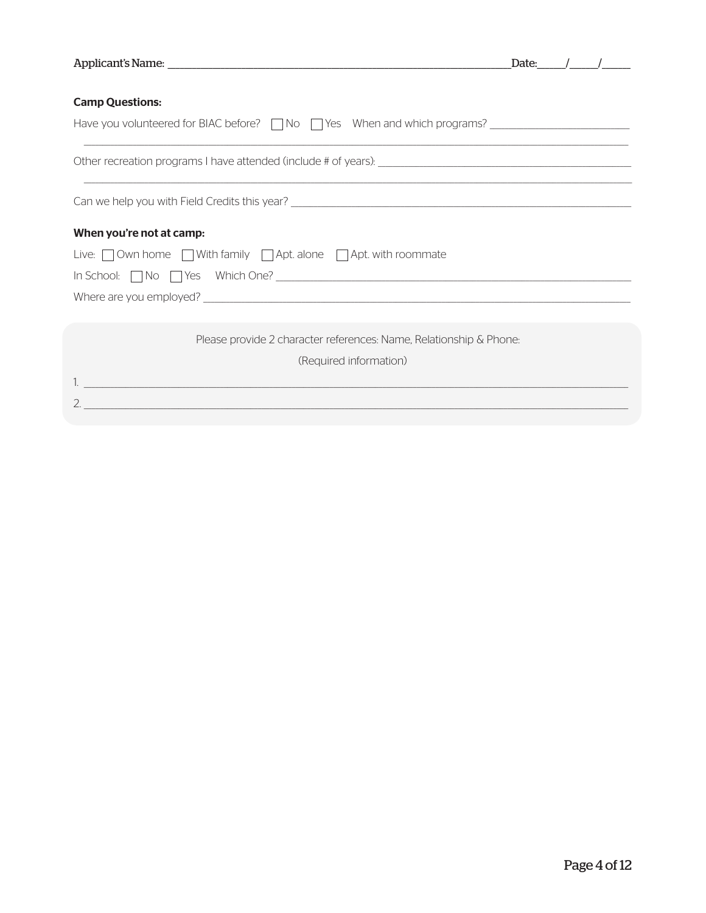|                                                                                                                      | Date: | $\frac{1}{2}$ |  |
|----------------------------------------------------------------------------------------------------------------------|-------|---------------|--|
|                                                                                                                      |       |               |  |
| <b>Camp Questions:</b>                                                                                               |       |               |  |
| <u> 1989 - John Stein, Amerikaansk konstantiner (* 1989)</u>                                                         |       |               |  |
| ,一个人的人都是一个人的人,我们就是一个人的人,我们就是一个人的人,我们就是一个人的人,我们就是一个人的人,我们就是一个人的人,我们就是一个人的人,我们就是一个人                                    |       |               |  |
|                                                                                                                      |       |               |  |
| When you're not at camp:                                                                                             |       |               |  |
| Live: Own home With family Apt. alone Apt. with roommate                                                             |       |               |  |
|                                                                                                                      |       |               |  |
|                                                                                                                      |       |               |  |
|                                                                                                                      |       |               |  |
| Please provide 2 character references: Name, Relationship & Phone:                                                   |       |               |  |
| (Required information)                                                                                               |       |               |  |
| <u> 1989 - Johann Stein, mars an deutscher Stein und der Stein und der Stein und der Stein und der Stein und der</u> |       |               |  |
| <u> 1980 - Johann Barn, mars an t-Amerikaansk politiker (* 1908)</u>                                                 |       |               |  |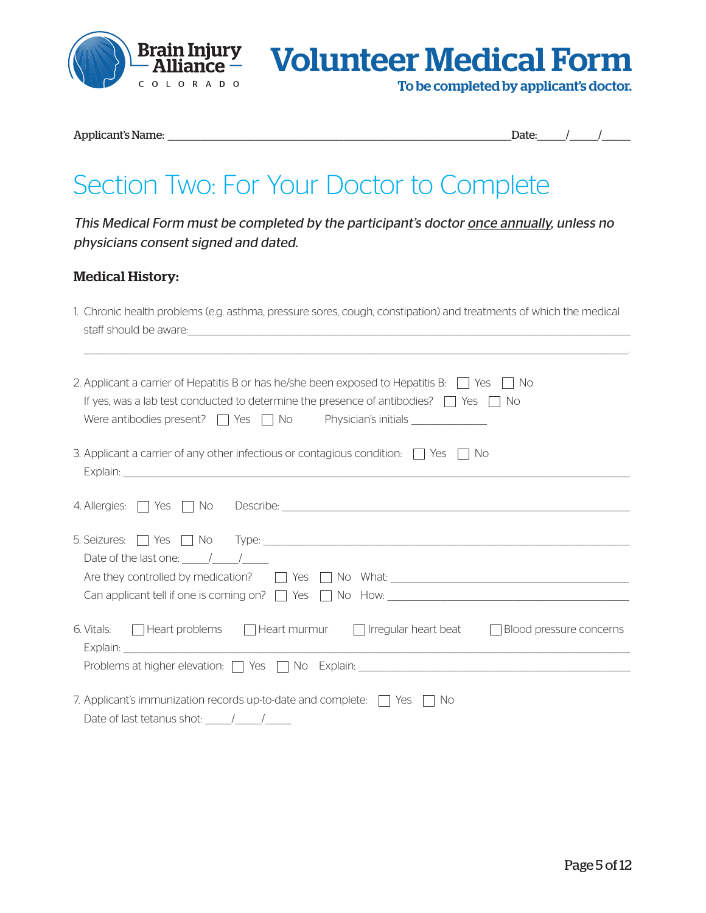

Brain Injury **Volunteer Medical Form** 

To be completed by applicant's doctor.

Applicant's Name: \_\_\_\_\_\_\_\_\_\_\_\_\_\_\_\_\_\_\_\_\_\_\_\_\_\_\_\_\_\_\_\_\_\_\_\_\_\_\_\_\_\_\_\_\_\_\_\_\_\_\_\_\_\_\_\_\_\_\_\_\_\_\_\_\_\_\_\_\_\_\_\_\_\_\_\_\_\_\_\_\_\_\_\_Date:\_\_\_\_\_\_\_/\_\_\_\_\_\_\_/\_\_\_\_\_\_\_

## Section Two: For Your Doctor to Complete

This Medical Form must be completed by the participant's doctor once annually, unless no physicians consent signed and dated.

## Medical History:

| 1. Chronic health problems (e.g. asthma, pressure sores, cough, constipation) and treatments of which the medical                                                                                                                    |
|--------------------------------------------------------------------------------------------------------------------------------------------------------------------------------------------------------------------------------------|
| staff should be aware: <u>contained a starting of the starting of the starting of the starting of the starting of the starting of the starting of the starting of the starting of the starting of the starting of the starting o</u> |
|                                                                                                                                                                                                                                      |
|                                                                                                                                                                                                                                      |
| 2. Applicant a carrier of Hepatitis B or has he/she been exposed to Hepatitis B: $\Box$ Yes $\Box$ No                                                                                                                                |
| If yes, was a lab test conducted to determine the presence of antibodies? $\Box$ Yes $\Box$ No                                                                                                                                       |
|                                                                                                                                                                                                                                      |
| 3. Applicant a carrier of any other infectious or contagious condition: $\Box$ Yes $\Box$ No                                                                                                                                         |
|                                                                                                                                                                                                                                      |
|                                                                                                                                                                                                                                      |
|                                                                                                                                                                                                                                      |
|                                                                                                                                                                                                                                      |
|                                                                                                                                                                                                                                      |
| Date of the last one: $\frac{1}{\sqrt{1-\frac{1}{2}}}$                                                                                                                                                                               |
|                                                                                                                                                                                                                                      |
|                                                                                                                                                                                                                                      |
|                                                                                                                                                                                                                                      |
| 6. Vitals: $\Box$ Heart problems $\Box$ Heart murmur $\Box$ Irregular heart beat<br>$\Box$ Blood pressure concerns                                                                                                                   |
|                                                                                                                                                                                                                                      |
| Problems at higher elevation: TVes TNo Explain: THE EXPLAINER AND RESONANCE PROBLEMS AT NO EXPLAINING THE PROBLEMS AND RESONANCE PROBLEMS AND RESONANCE PROBLEMS AND RESONANCE PROBLEMS AND RESONANCE PROBLEMS AND RESONANCE P       |
|                                                                                                                                                                                                                                      |
| 7. Applicant's immunization records up-to-date and complete: $\Box$ Yes $\Box$ No                                                                                                                                                    |
| Date of last tetanus shot: $\frac{1}{\sqrt{2}}$                                                                                                                                                                                      |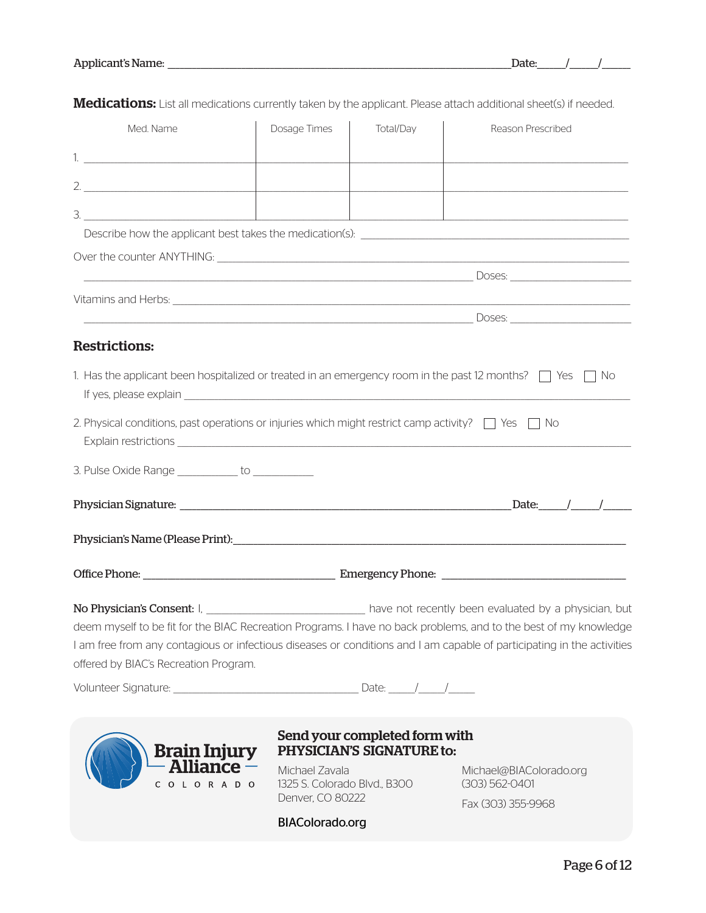| Date: |  |
|-------|--|
|       |  |

| Med. Name                                                                                                    | Dosage Times                                     | Total/Day                     | Reason Prescribed                                                                                                      |
|--------------------------------------------------------------------------------------------------------------|--------------------------------------------------|-------------------------------|------------------------------------------------------------------------------------------------------------------------|
|                                                                                                              |                                                  |                               |                                                                                                                        |
|                                                                                                              |                                                  |                               |                                                                                                                        |
|                                                                                                              |                                                  |                               |                                                                                                                        |
|                                                                                                              |                                                  |                               | <u> 2000 - Jan Barnett, amerikansk politik (d. 1982)</u>                                                               |
|                                                                                                              |                                                  |                               |                                                                                                                        |
|                                                                                                              |                                                  |                               |                                                                                                                        |
|                                                                                                              |                                                  |                               |                                                                                                                        |
|                                                                                                              |                                                  |                               |                                                                                                                        |
| <b>Restrictions:</b>                                                                                         |                                                  |                               |                                                                                                                        |
|                                                                                                              |                                                  |                               | 1. Has the applicant been hospitalized or treated in an emergency room in the past 12 months? $\Box$ Yes $\Box$ No     |
|                                                                                                              |                                                  |                               |                                                                                                                        |
| 2. Physical conditions, past operations or injuries which might restrict camp activity? $\Box$ Yes $\Box$ No |                                                  |                               |                                                                                                                        |
| 3. Pulse Oxide Range ____________ to ____________                                                            |                                                  |                               |                                                                                                                        |
|                                                                                                              |                                                  |                               |                                                                                                                        |
|                                                                                                              |                                                  |                               |                                                                                                                        |
|                                                                                                              |                                                  |                               |                                                                                                                        |
|                                                                                                              |                                                  |                               | No Physician's Consent: I, _____________________________ have not recently been evaluated by a physician, but          |
|                                                                                                              |                                                  |                               | deem myself to be fit for the BIAC Recreation Programs. I have no back problems, and to the best of my knowledge       |
|                                                                                                              |                                                  |                               | I am free from any contagious or infectious diseases or conditions and I am capable of participating in the activities |
| offered by BIAC's Recreation Program.                                                                        |                                                  |                               |                                                                                                                        |
|                                                                                                              |                                                  |                               |                                                                                                                        |
|                                                                                                              |                                                  | Send your completed form with |                                                                                                                        |
| <b>Brain Injury</b>                                                                                          |                                                  | PHYSICIAN'S SIGNATURE to:     |                                                                                                                        |
| Alliance –                                                                                                   | Michael Zavala                                   |                               | Michael@BIAColorado.org                                                                                                |
| O L O R A D O<br>C                                                                                           | 1325 S. Colorado Blvd., B300<br>Denver, CO 80222 |                               | (303) 562-0401<br><b>Fay (202) 255 0069</b>                                                                            |

Medications: List all medications currently taken by the applicant. Please attach additional sheet(s) if needed.

BIAColorado.org

Fax (303) 355-9968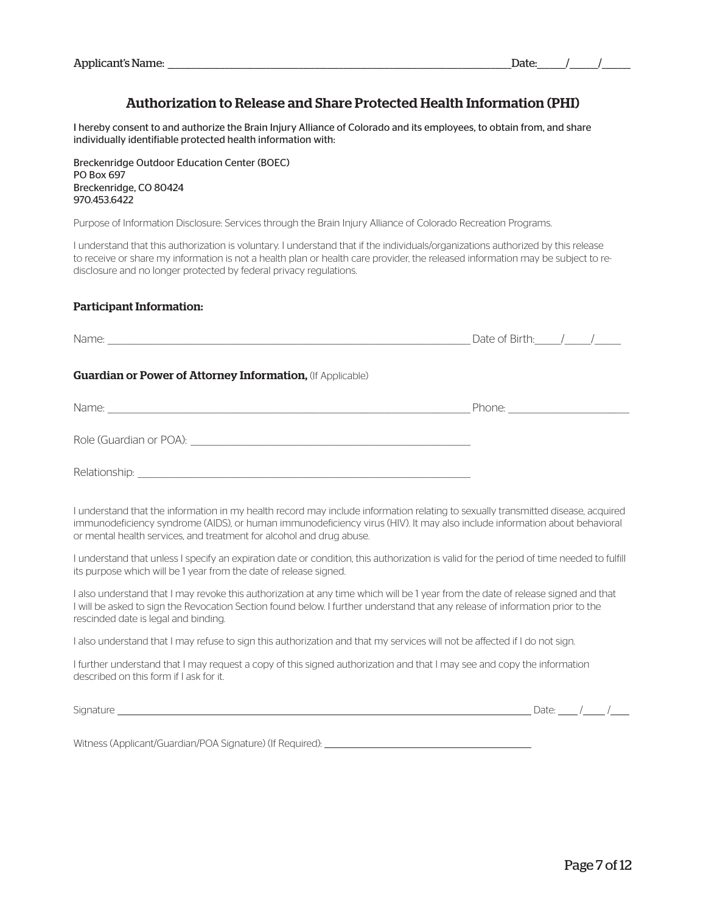## Authorization to Release and Share Protected Health Information (PHI)

I hereby consent to and authorize the Brain Injury Alliance of Colorado and its employees, to obtain from, and share individually identifiable protected health information with:

Breckenridge Outdoor Education Center (BOEC) PO Box 697 Breckenridge, CO 80424 970.453.6422

Purpose of Information Disclosure: Services through the Brain Injury Alliance of Colorado Recreation Programs.

I understand that this authorization is voluntary. I understand that if the individuals/organizations authorized by this release to receive or share my information is not a health plan or health care provider, the released information may be subject to redisclosure and no longer protected by federal privacy regulations.

#### Participant Information:

| Name:                                                             | Date of Birth: $\frac{1}{\sqrt{2}}$ |
|-------------------------------------------------------------------|-------------------------------------|
| <b>Guardian or Power of Attorney Information, (If Applicable)</b> |                                     |
| Name:                                                             | Phone:                              |
| Role (Guardian or POA):                                           |                                     |

Relationship:

I understand that the information in my health record may include information relating to sexually transmitted disease, acquired immunodeficiency syndrome (AIDS), or human immunodeficiency virus (HIV). It may also include information about behavioral or mental health services, and treatment for alcohol and drug abuse.

I understand that unless I specify an expiration date or condition, this authorization is valid for the period of time needed to fulfill its purpose which will be 1 year from the date of release signed.

I also understand that I may revoke this authorization at any time which will be 1 year from the date of release signed and that I will be asked to sign the Revocation Section found below. I further understand that any release of information prior to the rescinded date is legal and binding.

I also understand that I may refuse to sign this authorization and that my services will not be affected if I do not sign.

I further understand that I may request a copy of this signed authorization and that I may see and copy the information described on this form if I ask for it.

 $Signature$   $\frac{1}{2}$  /  $\frac{1}{2}$  /  $\frac{1}{2}$  /  $\frac{1}{2}$  /  $\frac{1}{2}$  /  $\frac{1}{2}$  /  $\frac{1}{2}$  /  $\frac{1}{2}$  /  $\frac{1}{2}$  /  $\frac{1}{2}$  /  $\frac{1}{2}$  /  $\frac{1}{2}$  /  $\frac{1}{2}$  /  $\frac{1}{2}$  /  $\frac{1}{2}$  /  $\frac{1}{2}$  /  $\frac{1}{2}$  /  $\frac{1}{2}$  /

Witness (Applicant/Guardian/POA Signature) (If Required):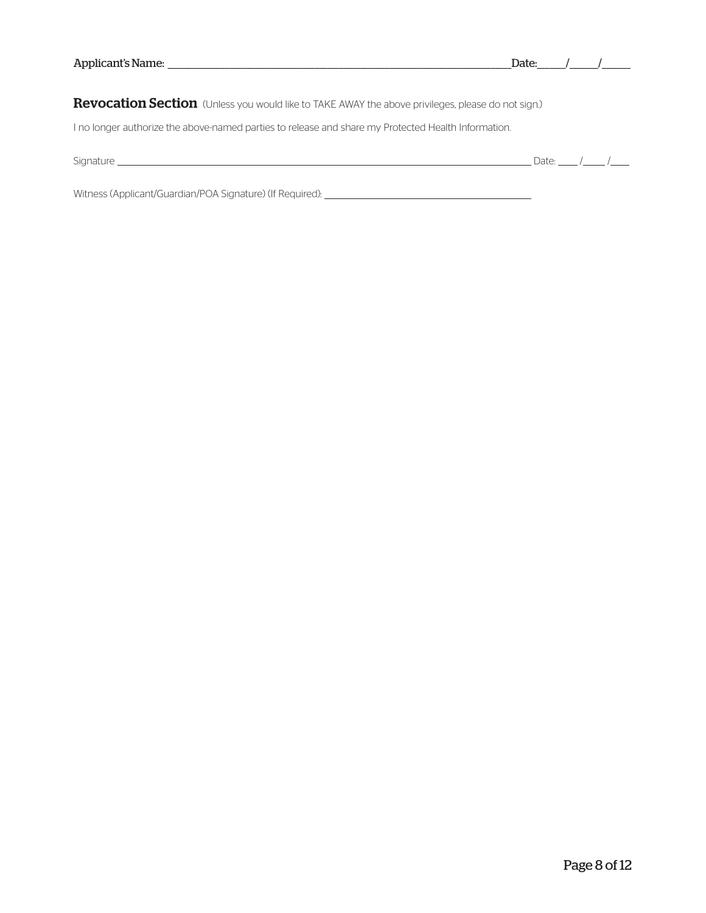| Applicant's Name:                                                                                   | Date:             |
|-----------------------------------------------------------------------------------------------------|-------------------|
| Revocation Section (Unless you would like to TAKE AWAY the above privileges, please do not sign.)   |                   |
| I no longer authorize the above-named parties to release and share my Protected Health Information. |                   |
| Signature                                                                                           | Date <sub>r</sub> |

Witness (Applicant/Guardian/POA Signature) (If Required):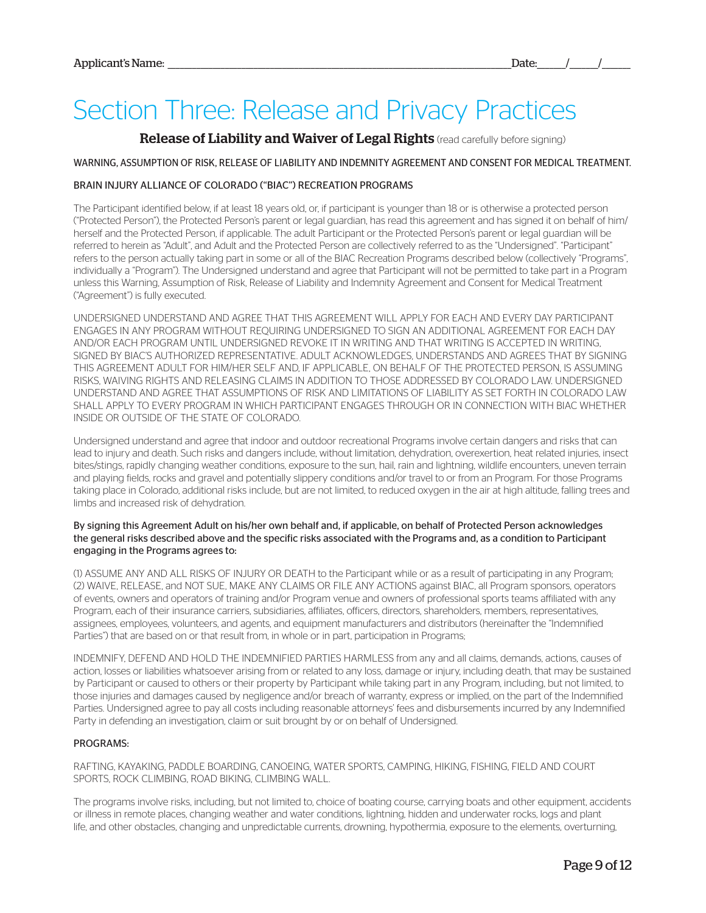## Section Three: Release and Privacy Practices

### Release of Liability and Waiver of Legal Rights (read carefully before signing)

#### WARNING, ASSUMPTION OF RISK, RELEASE OF LIABILITY AND INDEMNITY AGREEMENT AND CONSENT FOR MEDICAL TREATMENT.

#### BRAIN INJURY ALLIANCE OF COLORADO ("BIAC") RECREATION PROGRAMS

The Participant identified below, if at least 18 years old, or, if participant is younger than 18 or is otherwise a protected person ("Protected Person"), the Protected Person's parent or legal guardian, has read this agreement and has signed it on behalf of him/ herself and the Protected Person, if applicable. The adult Participant or the Protected Person's parent or legal guardian will be referred to herein as "Adult", and Adult and the Protected Person are collectively referred to as the "Undersigned". "Participant" refers to the person actually taking part in some or all of the BIAC Recreation Programs described below (collectively "Programs", individually a "Program"). The Undersigned understand and agree that Participant will not be permitted to take part in a Program unless this Warning, Assumption of Risk, Release of Liability and Indemnity Agreement and Consent for Medical Treatment ("Agreement") is fully executed.

UNDERSIGNED UNDERSTAND AND AGREE THAT THIS AGREEMENT WILL APPLY FOR EACH AND EVERY DAY PARTICIPANT ENGAGES IN ANY PROGRAM WITHOUT REQUIRING UNDERSIGNED TO SIGN AN ADDITIONAL AGREEMENT FOR EACH DAY AND/OR EACH PROGRAM UNTIL UNDERSIGNED REVOKE IT IN WRITING AND THAT WRITING IS ACCEPTED IN WRITING, SIGNED BY BIAC'S AUTHORIZED REPRESENTATIVE. ADULT ACKNOWLEDGES, UNDERSTANDS AND AGREES THAT BY SIGNING THIS AGREEMENT ADULT FOR HIM/HER SELF AND, IF APPLICABLE, ON BEHALF OF THE PROTECTED PERSON, IS ASSUMING RISKS, WAIVING RIGHTS AND RELEASING CLAIMS IN ADDITION TO THOSE ADDRESSED BY COLORADO LAW. UNDERSIGNED UNDERSTAND AND AGREE THAT ASSUMPTIONS OF RISK AND LIMITATIONS OF LIABILITY AS SET FORTH IN COLORADO LAW SHALL APPLY TO EVERY PROGRAM IN WHICH PARTICIPANT ENGAGES THROUGH OR IN CONNECTION WITH BIAC WHETHER INSIDE OR OUTSIDE OF THE STATE OF COLORADO.

Undersigned understand and agree that indoor and outdoor recreational Programs involve certain dangers and risks that can lead to injury and death. Such risks and dangers include, without limitation, dehydration, overexertion, heat related injuries, insect bites/stings, rapidly changing weather conditions, exposure to the sun, hail, rain and lightning, wildlife encounters, uneven terrain and playing fields, rocks and gravel and potentially slippery conditions and/or travel to or from an Program. For those Programs taking place in Colorado, additional risks include, but are not limited, to reduced oxygen in the air at high altitude, falling trees and limbs and increased risk of dehydration.

#### By signing this Agreement Adult on his/her own behalf and, if applicable, on behalf of Protected Person acknowledges the general risks described above and the specific risks associated with the Programs and, as a condition to Participant engaging in the Programs agrees to:

(1) ASSUME ANY AND ALL RISKS OF INJURY OR DEATH to the Participant while or as a result of participating in any Program; (2) WAIVE, RELEASE, and NOT SUE, MAKE ANY CLAIMS OR FILE ANY ACTIONS against BIAC, all Program sponsors, operators of events, owners and operators of training and/or Program venue and owners of professional sports teams affiliated with any Program, each of their insurance carriers, subsidiaries, affiliates, officers, directors, shareholders, members, representatives, assignees, employees, volunteers, and agents, and equipment manufacturers and distributors (hereinafter the "Indemnified Parties") that are based on or that result from, in whole or in part, participation in Programs;

INDEMNIFY, DEFEND AND HOLD THE INDEMNIFIED PARTIES HARMLESS from any and all claims, demands, actions, causes of action, losses or liabilities whatsoever arising from or related to any loss, damage or injury, including death, that may be sustained by Participant or caused to others or their property by Participant while taking part in any Program, including, but not limited, to those injuries and damages caused by negligence and/or breach of warranty, express or implied, on the part of the Indemnified Parties. Undersigned agree to pay all costs including reasonable attorneys' fees and disbursements incurred by any Indemnified Party in defending an investigation, claim or suit brought by or on behalf of Undersigned.

#### PROGRAMS:

RAFTING, KAYAKING, PADDLE BOARDING, CANOEING, WATER SPORTS, CAMPING, HIKING, FISHING, FIELD AND COURT SPORTS, ROCK CLIMBING, ROAD BIKING, CLIMBING WALL.

The programs involve risks, including, but not limited to, choice of boating course, carrying boats and other equipment, accidents or illness in remote places, changing weather and water conditions, lightning, hidden and underwater rocks, logs and plant life, and other obstacles, changing and unpredictable currents, drowning, hypothermia, exposure to the elements, overturning,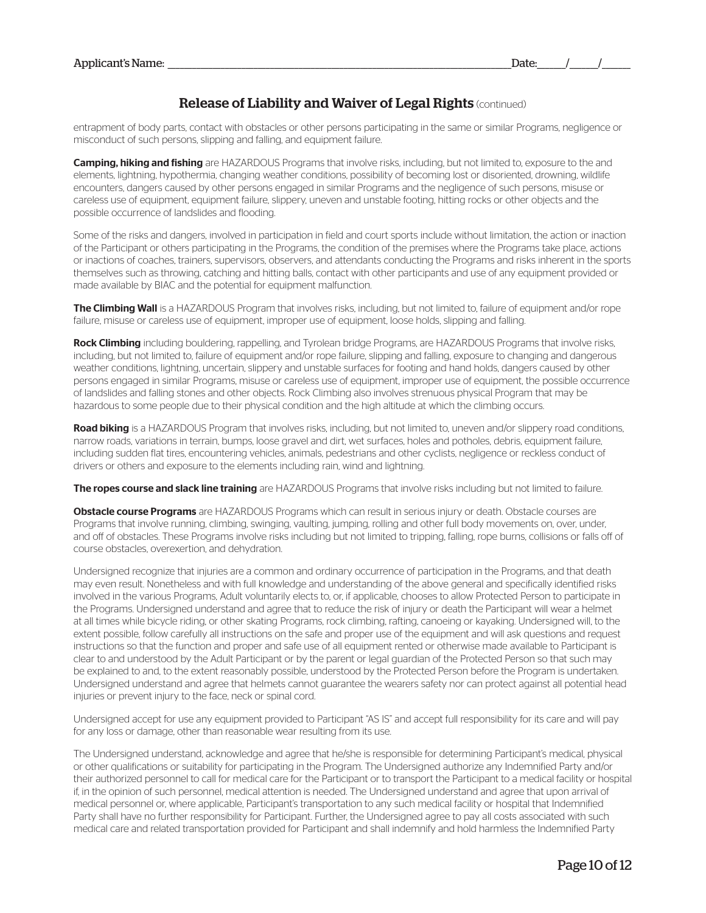## **Release of Liability and Waiver of Legal Rights (continued)**

entrapment of body parts, contact with obstacles or other persons participating in the same or similar Programs, negligence or misconduct of such persons, slipping and falling, and equipment failure.

Camping, hiking and fishing are HAZARDOUS Programs that involve risks, including, but not limited to, exposure to the and elements, lightning, hypothermia, changing weather conditions, possibility of becoming lost or disoriented, drowning, wildlife encounters, dangers caused by other persons engaged in similar Programs and the negligence of such persons, misuse or careless use of equipment, equipment failure, slippery, uneven and unstable footing, hitting rocks or other objects and the possible occurrence of landslides and flooding.

Some of the risks and dangers, involved in participation in field and court sports include without limitation, the action or inaction of the Participant or others participating in the Programs, the condition of the premises where the Programs take place, actions or inactions of coaches, trainers, supervisors, observers, and attendants conducting the Programs and risks inherent in the sports themselves such as throwing, catching and hitting balls, contact with other participants and use of any equipment provided or made available by BIAC and the potential for equipment malfunction.

**The Climbing Wall** is a HAZARDOUS Program that involves risks, including, but not limited to, failure of equipment and/or rope failure, misuse or careless use of equipment, improper use of equipment, loose holds, slipping and falling.

Rock Climbing including bouldering, rappelling, and Tyrolean bridge Programs, are HAZARDOUS Programs that involve risks, including, but not limited to, failure of equipment and/or rope failure, slipping and falling, exposure to changing and dangerous weather conditions, lightning, uncertain, slippery and unstable surfaces for footing and hand holds, dangers caused by other persons engaged in similar Programs, misuse or careless use of equipment, improper use of equipment, the possible occurrence of landslides and falling stones and other objects. Rock Climbing also involves strenuous physical Program that may be hazardous to some people due to their physical condition and the high altitude at which the climbing occurs.

Road biking is a HAZARDOUS Program that involves risks, including, but not limited to, uneven and/or slippery road conditions, narrow roads, variations in terrain, bumps, loose gravel and dirt, wet surfaces, holes and potholes, debris, equipment failure, including sudden flat tires, encountering vehicles, animals, pedestrians and other cyclists, negligence or reckless conduct of drivers or others and exposure to the elements including rain, wind and lightning.

The ropes course and slack line training are HAZARDOUS Programs that involve risks including but not limited to failure.

**Obstacle course Programs** are HAZARDOUS Programs which can result in serious injury or death. Obstacle courses are Programs that involve running, climbing, swinging, vaulting, jumping, rolling and other full body movements on, over, under, and off of obstacles. These Programs involve risks including but not limited to tripping, falling, rope burns, collisions or falls off of course obstacles, overexertion, and dehydration.

Undersigned recognize that injuries are a common and ordinary occurrence of participation in the Programs, and that death may even result. Nonetheless and with full knowledge and understanding of the above general and specifically identified risks involved in the various Programs, Adult voluntarily elects to, or, if applicable, chooses to allow Protected Person to participate in the Programs. Undersigned understand and agree that to reduce the risk of injury or death the Participant will wear a helmet at all times while bicycle riding, or other skating Programs, rock climbing, rafting, canoeing or kayaking. Undersigned will, to the extent possible, follow carefully all instructions on the safe and proper use of the equipment and will ask questions and request instructions so that the function and proper and safe use of all equipment rented or otherwise made available to Participant is clear to and understood by the Adult Participant or by the parent or legal guardian of the Protected Person so that such may be explained to and, to the extent reasonably possible, understood by the Protected Person before the Program is undertaken. Undersigned understand and agree that helmets cannot guarantee the wearers safety nor can protect against all potential head injuries or prevent injury to the face, neck or spinal cord.

Undersigned accept for use any equipment provided to Participant "AS IS" and accept full responsibility for its care and will pay for any loss or damage, other than reasonable wear resulting from its use.

The Undersigned understand, acknowledge and agree that he/she is responsible for determining Participant's medical, physical or other qualifications or suitability for participating in the Program. The Undersigned authorize any Indemnified Party and/or their authorized personnel to call for medical care for the Participant or to transport the Participant to a medical facility or hospital if, in the opinion of such personnel, medical attention is needed. The Undersigned understand and agree that upon arrival of medical personnel or, where applicable, Participant's transportation to any such medical facility or hospital that Indemnified Party shall have no further responsibility for Participant. Further, the Undersigned agree to pay all costs associated with such medical care and related transportation provided for Participant and shall indemnify and hold harmless the Indemnified Party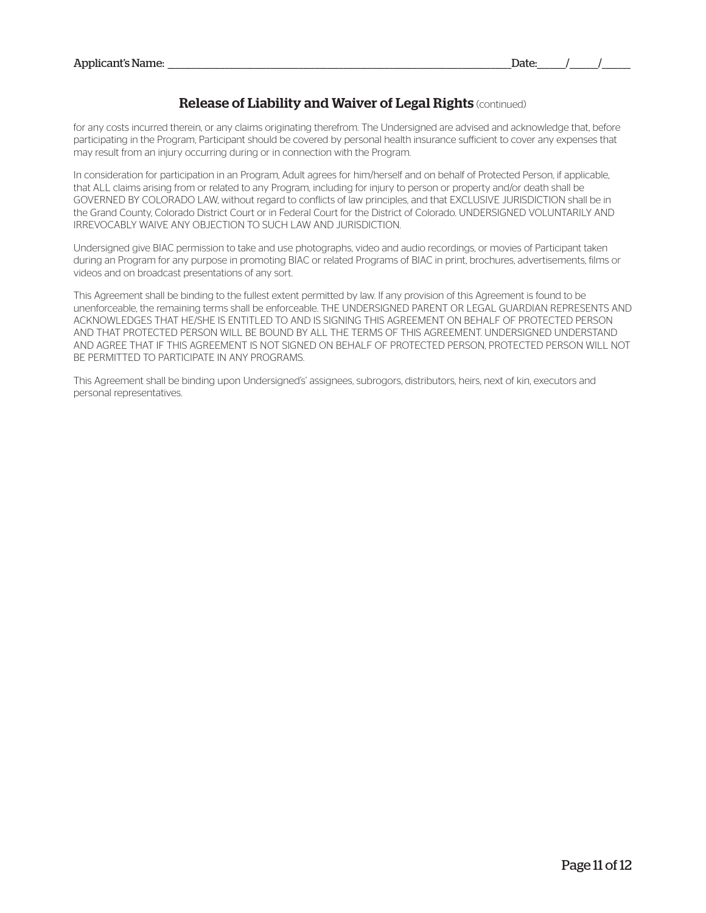## **Release of Liability and Waiver of Legal Rights (continued)**

for any costs incurred therein, or any claims originating therefrom. The Undersigned are advised and acknowledge that, before participating in the Program, Participant should be covered by personal health insurance sufficient to cover any expenses that may result from an injury occurring during or in connection with the Program.

In consideration for participation in an Program, Adult agrees for him/herself and on behalf of Protected Person, if applicable, that ALL claims arising from or related to any Program, including for injury to person or property and/or death shall be GOVERNED BY COLORADO LAW, without regard to conflicts of law principles, and that EXCLUSIVE JURISDICTION shall be in the Grand County, Colorado District Court or in Federal Court for the District of Colorado. UNDERSIGNED VOLUNTARILY AND IRREVOCABLY WAIVE ANY OBJECTION TO SUCH LAW AND JURISDICTION.

Undersigned give BIAC permission to take and use photographs, video and audio recordings, or movies of Participant taken during an Program for any purpose in promoting BIAC or related Programs of BIAC in print, brochures, advertisements, films or videos and on broadcast presentations of any sort.

This Agreement shall be binding to the fullest extent permitted by law. If any provision of this Agreement is found to be unenforceable, the remaining terms shall be enforceable. THE UNDERSIGNED PARENT OR LEGAL GUARDIAN REPRESENTS AND ACKNOWLEDGES THAT HE/SHE IS ENTITLED TO AND IS SIGNING THIS AGREEMENT ON BEHALF OF PROTECTED PERSON AND THAT PROTECTED PERSON WILL BE BOUND BY ALL THE TERMS OF THIS AGREEMENT. UNDERSIGNED UNDERSTAND AND AGREE THAT IF THIS AGREEMENT IS NOT SIGNED ON BEHALF OF PROTECTED PERSON, PROTECTED PERSON WILL NOT BE PERMITTED TO PARTICIPATE IN ANY PROGRAMS.

This Agreement shall be binding upon Undersigned's' assignees, subrogors, distributors, heirs, next of kin, executors and personal representatives.